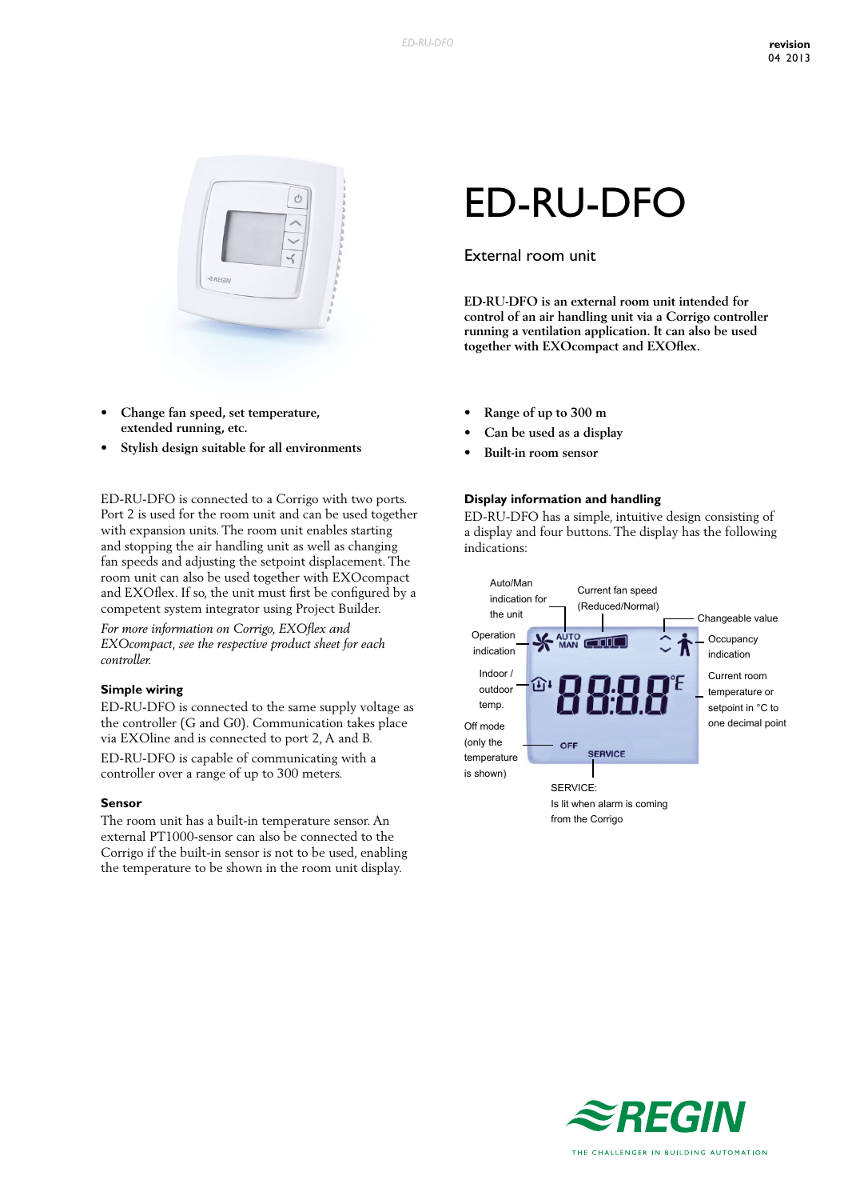

- **• Change fan speed, set temperature, extended running, etc.**
- **• Stylish design suitable for all environments**

ED-RU-DFO is connected to a Corrigo with two ports. Port 2 is used for the room unit and can be used together with expansion units. The room unit enables starting and stopping the air handling unit as well as changing fan speeds and adjusting the setpoint displacement. The room unit can also be used together with EXOcompact and EXOflex. If so, the unit must first be configured by a competent system integrator using Project Builder. *For more information on Corrigo, EXOflex and* 

*EXOcompact, see the respective product sheet for each controller.*

#### **Simple wiring**

ED-RU-DFO is connected to the same supply voltage as the controller (G and G0). Communication takes place via EXOline and is connected to port 2, A and B.

ED-RU-DFO is capable of communicating with a controller over a range of up to 300 meters.

#### **Sensor**

The room unit has a built-in temperature sensor. An external PT1000-sensor can also be connected to the Corrigo if the built-in sensor is not to be used, enabling the temperature to be shown in the room unit display.

# ED-RU-DFO

## External room unit

**ED-RU-DFO is an external room unit intended for control of an air handling unit via a Corrigo controller running a ventilation application. It can also be used together with EXOcompact and EXOflex.**

- **• Range of up to 300 m**
- **• Can be used as a display**
- **• Built-in room sensor**

#### **Display information and handling**

ED-RU-DFO has a simple, intuitive design consisting of a display and four buttons. The display has the following indications:



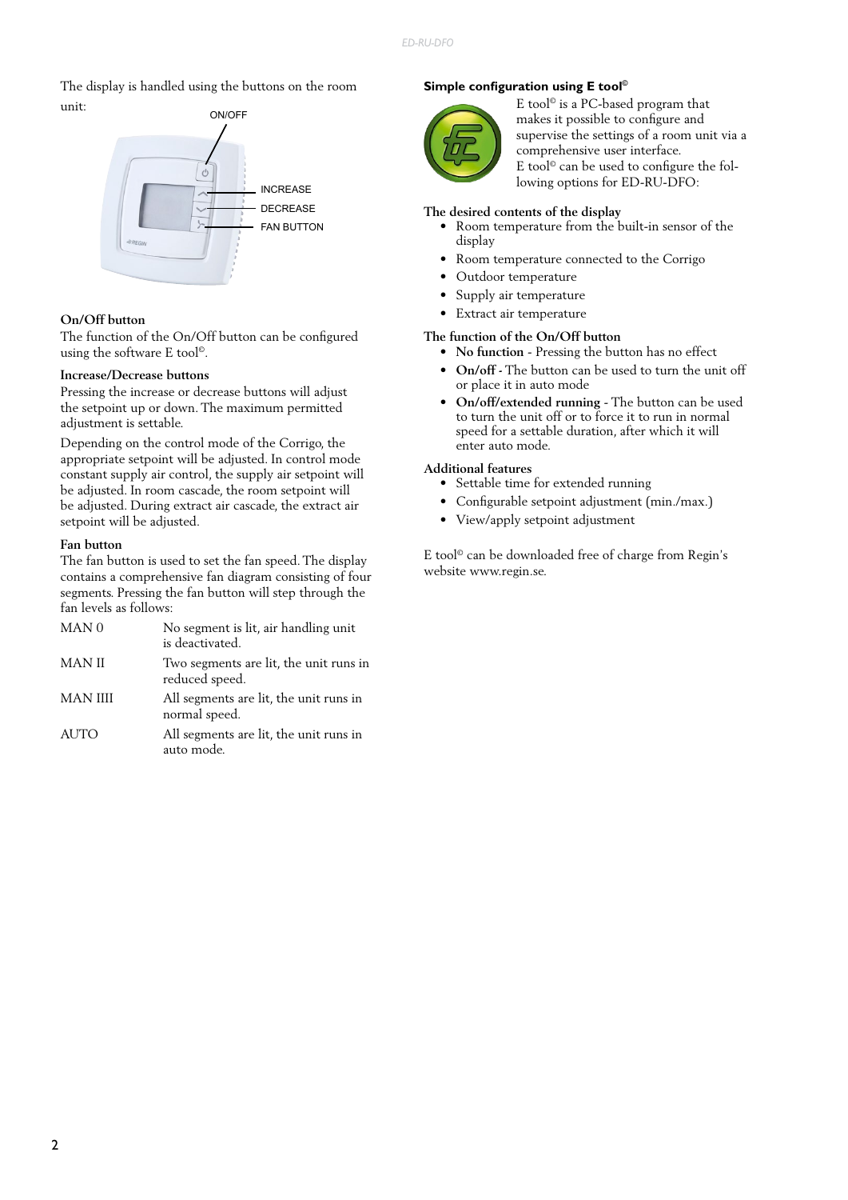The display is handled using the buttons on the room unit:



### **On/Off button**

The function of the On/Off button can be configured using the software E tool©.

#### **Increase/Decrease buttons**

Pressing the increase or decrease buttons will adjust the setpoint up or down. The maximum permitted adjustment is settable.

Depending on the control mode of the Corrigo, the appropriate setpoint will be adjusted. In control mode constant supply air control, the supply air setpoint will be adjusted. In room cascade, the room setpoint will be adjusted. During extract air cascade, the extract air setpoint will be adjusted.

#### **Fan button**

The fan button is used to set the fan speed. The display contains a comprehensive fan diagram consisting of four segments. Pressing the fan button will step through the fan levels as follows:

| MAN <sub>0</sub> | No segment is lit, air handling unit<br>is deactivated.  |
|------------------|----------------------------------------------------------|
| <b>MAN II</b>    | Two segments are lit, the unit runs in<br>reduced speed. |
| <b>MAN IIII</b>  | All segments are lit, the unit runs in<br>normal speed.  |
| <b>AUTO</b>      | All segments are lit, the unit runs in<br>auto mode.     |

#### **Simple configuration using E tool©**



E tool© is a PC-based program that makes it possible to configure and supervise the settings of a room unit via a comprehensive user interface. E tool© can be used to configure the following options for ED-RU-DFO:

#### **The desired contents of the display**

- Room temperature from the built-in sensor of the display
- Room temperature connected to the Corrigo
- Outdoor temperature
- Supply air temperature
- Extract air temperature

# **The function of the On/Off button**

- **• No function** Pressing the button has no effect
- **• On/off -** The button can be used to turn the unit off or place it in auto mode
- **• On/off/extended running** The button can be used to turn the unit off or to force it to run in normal speed for a settable duration, after which it will enter auto mode.

#### **Additional features**

- Settable time for extended running
- Configurable setpoint adjustment (min./max.)
- View/apply setpoint adjustment

E tool© can be downloaded free of charge from Regin's website www.regin.se.